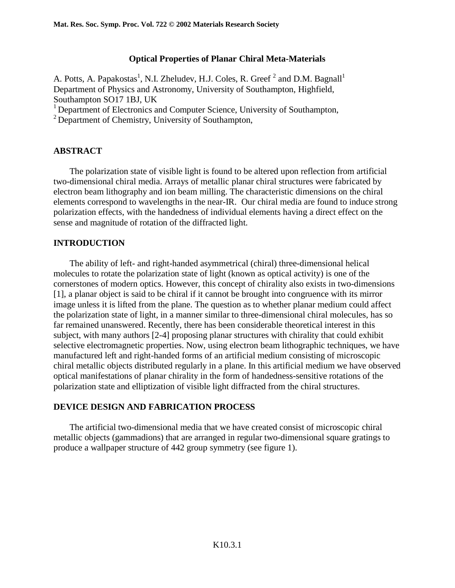#### **Optical Properties of Planar Chiral Meta-Materials**

A. Potts, A. Papakostas<sup>1</sup>, N.I. Zheludev, H.J. Coles, R. Greef  $^2$  and D.M. Bagnall<sup>1</sup> Department of Physics and Astronomy, University of Southampton, Highfield, Southampton SO17 1BJ, UK

<sup>1</sup> Department of Electronics and Computer Science, University of Southampton,

<sup>2</sup> Department of Chemistry, University of Southampton,

### **ABSTRACT**

The polarization state of visible light is found to be altered upon reflection from artificial two-dimensional chiral media. Arrays of metallic planar chiral structures were fabricated by electron beam lithography and ion beam milling. The characteristic dimensions on the chiral elements correspond to wavelengths in the near-IR. Our chiral media are found to induce strong polarization effects, with the handedness of individual elements having a direct effect on the sense and magnitude of rotation of the diffracted light.

### **INTRODUCTION**

The ability of left- and right-handed asymmetrical (chiral) three-dimensional helical molecules to rotate the polarization state of light (known as optical activity) is one of the cornerstones of modern optics. However, this concept of chirality also exists in two-dimensions [1], a planar object is said to be chiral if it cannot be brought into congruence with its mirror image unless it is lifted from the plane. The question as to whether planar medium could affect the polarization state of light, in a manner similar to three-dimensional chiral molecules, has so far remained unanswered. Recently, there has been considerable theoretical interest in this subject, with many authors [2-4] proposing planar structures with chirality that could exhibit selective electromagnetic properties. Now, using electron beam lithographic techniques, we have manufactured left and right-handed forms of an artificial medium consisting of microscopic chiral metallic objects distributed regularly in a plane. In this artificial medium we have observed optical manifestations of planar chirality in the form of handedness-sensitive rotations of the polarization state and elliptization of visible light diffracted from the chiral structures.

### **DEVICE DESIGN AND FABRICATION PROCESS**

The artificial two-dimensional media that we have created consist of microscopic chiral metallic objects (gammadions) that are arranged in regular two-dimensional square gratings to produce a wallpaper structure of 442 group symmetry (see figure 1).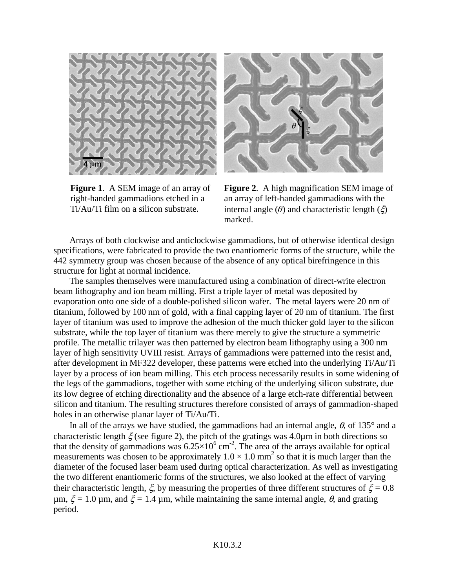

**Figure 1**. A SEM image of an array of right-handed gammadions etched in a Ti/Au/Ti film on a silicon substrate.



**Figure 2**. A high magnification SEM image of an array of left-handed gammadions with the internal angle ( $\theta$ ) and characteristic length ( $\zeta$ ) marked.

Arrays of both clockwise and anticlockwise gammadions, but of otherwise identical design specifications, were fabricated to provide the two enantiomeric forms of the structure, while the 442 symmetry group was chosen because of the absence of any optical birefringence in this structure for light at normal incidence.

The samples themselves were manufactured using a combination of direct-write electron beam lithography and ion beam milling. First a triple layer of metal was deposited by evaporation onto one side of a double-polished silicon wafer. The metal layers were 20 nm of titanium, followed by 100 nm of gold, with a final capping layer of 20 nm of titanium. The first layer of titanium was used to improve the adhesion of the much thicker gold layer to the silicon substrate, while the top layer of titanium was there merely to give the structure a symmetric profile. The metallic trilayer was then patterned by electron beam lithography using a 300 nm layer of high sensitivity UVIII resist. Arrays of gammadions were patterned into the resist and, after development in MF322 developer, these patterns were etched into the underlying Ti/Au/Ti layer by a process of ion beam milling. This etch process necessarily results in some widening of the legs of the gammadions, together with some etching of the underlying silicon substrate, due its low degree of etching directionality and the absence of a large etch-rate differential between silicon and titanium. The resulting structures therefore consisted of arrays of gammadion-shaped holes in an otherwise planar layer of Ti/Au/Ti.

In all of the arrays we have studied, the gammadions had an internal angle,  $\theta$ , of 135° and a characteristic length  $\xi$  (see figure 2), the pitch of the gratings was 4.0 $\mu$ m in both directions so that the density of gammadions was  $6.25 \times 10^6$  cm<sup>-2</sup>. The area of the arrays available for optical measurements was chosen to be approximately  $1.0 \times 1.0$  mm<sup>2</sup> so that it is much larger than the diameter of the focused laser beam used during optical characterization. As well as investigating the two different enantiomeric forms of the structures, we also looked at the effect of varying their characteristic length,  $\xi$ , by measuring the properties of three different structures of  $\xi = 0.8$  $\mu$ m,  $\xi$  = 1.0  $\mu$ m, and  $\xi$  = 1.4  $\mu$ m, while maintaining the same internal angle,  $\theta$ , and grating period.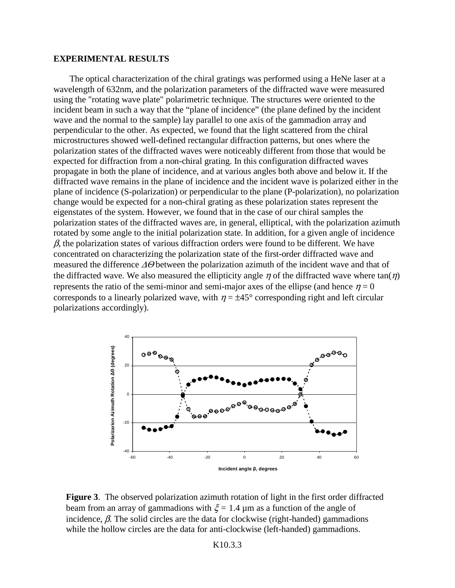#### **EXPERIMENTAL RESULTS**

The optical characterization of the chiral gratings was performed using a HeNe laser at a wavelength of 632nm, and the polarization parameters of the diffracted wave were measured using the "rotating wave plate" polarimetric technique. The structures were oriented to the incident beam in such a way that the "plane of incidence" (the plane defined by the incident wave and the normal to the sample) lay parallel to one axis of the gammadion array and perpendicular to the other. As expected, we found that the light scattered from the chiral microstructures showed well-defined rectangular diffraction patterns, but ones where the polarization states of the diffracted waves were noticeably different from those that would be expected for diffraction from a non-chiral grating. In this configuration diffracted waves propagate in both the plane of incidence, and at various angles both above and below it. If the diffracted wave remains in the plane of incidence and the incident wave is polarized either in the plane of incidence (S-polarization) or perpendicular to the plane (P-polarization), no polarization change would be expected for a non-chiral grating as these polarization states represent the eigenstates of the system. However, we found that in the case of our chiral samples the polarization states of the diffracted waves are, in general, elliptical, with the polarization azimuth rotated by some angle to the initial polarization state. In addition, for a given angle of incidence β, the polarization states of various diffraction orders were found to be different*.* We have concentrated on characterizing the polarization state of the first-order diffracted wave and measured the difference ∆Θ between the polarization azimuth of the incident wave and that of the diffracted wave. We also measured the ellipticity angle  $\eta$  of the diffracted wave where tan( $\eta$ ) represents the ratio of the semi-minor and semi-major axes of the ellipse (and hence  $\eta = 0$ corresponds to a linearly polarized wave, with  $\eta = \pm 45^{\circ}$  corresponding right and left circular polarizations accordingly).



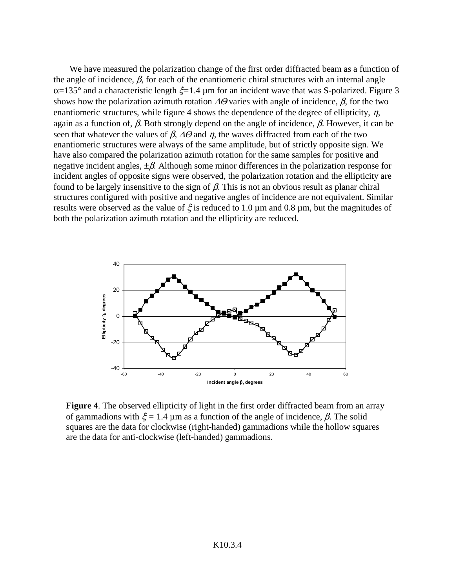We have measured the polarization change of the first order diffracted beam as a function of the angle of incidence,  $\beta$ , for each of the enantiomeric chiral structures with an internal angle α=135° and a characteristic length ξ*=*1.4 µm for an incident wave that was S-polarized. Figure 3 shows how the polarization azimuth rotation  $\Delta\Theta$  varies with angle of incidence,  $\beta$ , for the two enantiomeric structures, while figure 4 shows the dependence of the degree of ellipticity,  $\eta$ , again as a function of,  $\beta$ . Both strongly depend on the angle of incidence,  $\beta$ . However, it can be seen that whatever the values of  $\beta$ ,  $\Delta\Theta$  and  $\eta$ , the waves diffracted from each of the two enantiomeric structures were always of the same amplitude, but of strictly opposite sign. We have also compared the polarization azimuth rotation for the same samples for positive and negative incident angles, ±β*.* Although some minor differences in the polarization response for incident angles of opposite signs were observed, the polarization rotation and the ellipticity are found to be largely insensitive to the sign of  $\beta$ . This is not an obvious result as planar chiral structures configured with positive and negative angles of incidence are not equivalent. Similar results were observed as the value of  $\xi$  is reduced to 1.0  $\mu$ m and 0.8  $\mu$ m, but the magnitudes of both the polarization azimuth rotation and the ellipticity are reduced.



**Figure 4**. The observed ellipticity of light in the first order diffracted beam from an array of gammadions with  $\xi = 1.4 \mu m$  as a function of the angle of incidence,  $\beta$ . The solid squares are the data for clockwise (right-handed) gammadions while the hollow squares are the data for anti-clockwise (left-handed) gammadions.